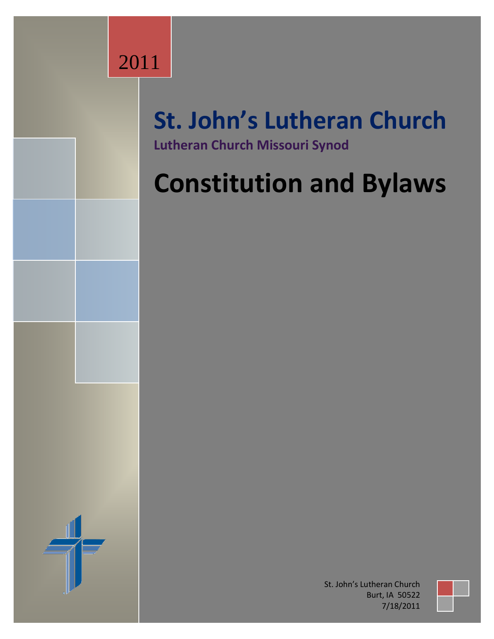## 2011

### **St. John's Lutheran Church Lutheran Church Missouri Synod**

# **Constitution and Bylaws**

St. John's Lutheran Church Burt, IA 50522 7/18/2011

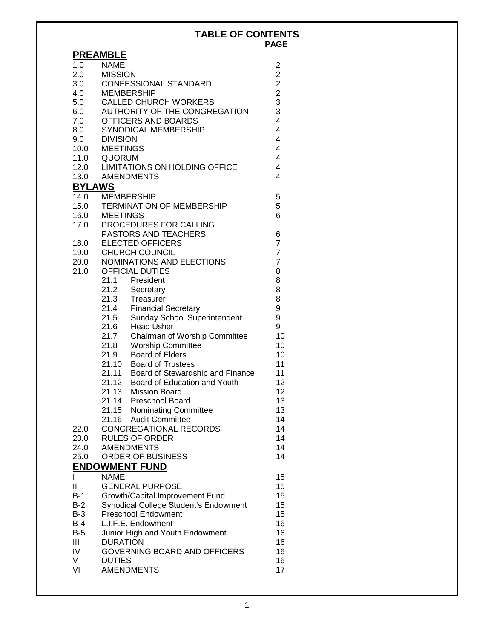#### **TABLE OF CONTENTS PAGE**

|               | <b>PREAMBLE</b>                             |                                            |  |  |
|---------------|---------------------------------------------|--------------------------------------------|--|--|
| 1.0           | <b>NAME</b>                                 | 2                                          |  |  |
| 2.0           | <b>MISSION</b>                              | $\overline{c}$                             |  |  |
| 3.0           | CONFESSIONAL STANDARD                       |                                            |  |  |
| 4.0           | <b>MEMBERSHIP</b>                           | $\begin{array}{c} 2 \\ 2 \\ 3 \end{array}$ |  |  |
| 5.0           | <b>CALLED CHURCH WORKERS</b>                |                                            |  |  |
| 6.0           | AUTHORITY OF THE CONGREGATION               | 3                                          |  |  |
| 7.0           | OFFICERS AND BOARDS                         | $\overline{4}$                             |  |  |
| 8.0           | SYNODICAL MEMBERSHIP                        | $\overline{4}$                             |  |  |
| 9.0           | <b>DIVISION</b>                             | $\overline{4}$                             |  |  |
| 10.0          | <b>MEETINGS</b>                             | 4                                          |  |  |
| 11.0          | QUORUM                                      | $\overline{4}$                             |  |  |
| 12.0          | LIMITATIONS ON HOLDING OFFICE               | 4                                          |  |  |
| 13.0          | <b>AMENDMENTS</b>                           | 4                                          |  |  |
| <b>BYLAWS</b> |                                             |                                            |  |  |
| 14.0          | <b>MEMBERSHIP</b>                           | 5                                          |  |  |
| 15.0          | <b>TERMINATION OF MEMBERSHIP</b>            | 5                                          |  |  |
| 16.0          | <b>MEETINGS</b>                             | 6                                          |  |  |
| 17.0          | PROCEDURES FOR CALLING                      |                                            |  |  |
|               | PASTORS AND TEACHERS                        | 6                                          |  |  |
| 18.0          | <b>ELECTED OFFICERS</b>                     | $\overline{7}$                             |  |  |
| 19.0          | <b>CHURCH COUNCIL</b>                       | $\overline{7}$                             |  |  |
| 20.0          | NOMINATIONS AND ELECTIONS                   | $\overline{7}$                             |  |  |
| 21.0          | <b>OFFICIAL DUTIES</b>                      | 8                                          |  |  |
|               | 21.1 President                              | 8                                          |  |  |
|               | 21.2<br>21.3<br>Secretary<br>Treasurer      | 8<br>8                                     |  |  |
|               | 21.4<br><b>Financial Secretary</b>          | 9                                          |  |  |
|               | 21.5<br>Sunday School Superintendent        | 9                                          |  |  |
|               | 21.6<br><b>Head Usher</b>                   | 9                                          |  |  |
|               | 21.7<br>Chairman of Worship Committee       | 10                                         |  |  |
|               | 21.8<br><b>Worship Committee</b>            | 10                                         |  |  |
|               | <b>Board of Elders</b><br>21.9              | 10                                         |  |  |
|               | 21.10<br><b>Board of Trustees</b>           | 11                                         |  |  |
|               | 21.11<br>Board of Stewardship and Finance   | 11                                         |  |  |
|               | Board of Education and Youth<br>21.12       | 12                                         |  |  |
|               | <b>Mission Board</b><br>21.13               | 12                                         |  |  |
|               | 21.14<br>Preschool Board                    | 13                                         |  |  |
|               | 21.15 Nominating Committee                  | 13                                         |  |  |
|               | 21.16 Audit Committee                       | 14                                         |  |  |
| 22.0          | <b>CONGREGATIONAL RECORDS</b>               | 14                                         |  |  |
| 23.0          | <b>RULES OF ORDER</b>                       | 14                                         |  |  |
| 24.0          | <b>AMENDMENTS</b>                           | 14                                         |  |  |
| 25.0          | ORDER OF BUSINESS                           | 14                                         |  |  |
|               | <b>ENDOWMENT FUND</b>                       |                                            |  |  |
| L             | <b>NAME</b>                                 | 15                                         |  |  |
| Ш             | <b>GENERAL PURPOSE</b>                      | 15                                         |  |  |
| $B-1$         | Growth/Capital Improvement Fund             | 15                                         |  |  |
| $B-2$         | 15<br>Synodical College Student's Endowment |                                            |  |  |
| $B-3$         | <b>Preschool Endowment</b><br>15            |                                            |  |  |
| $B-4$         | L.I.F.E. Endowment<br>16                    |                                            |  |  |
| $B-5$         | 16<br>Junior High and Youth Endowment       |                                            |  |  |
| Ш             | <b>DURATION</b>                             | 16                                         |  |  |
| IV            | GOVERNING BOARD AND OFFICERS                | 16                                         |  |  |
| V             | <b>DUTIES</b>                               | 16                                         |  |  |
| VI            | <b>AMENDMENTS</b>                           | 17                                         |  |  |
|               |                                             |                                            |  |  |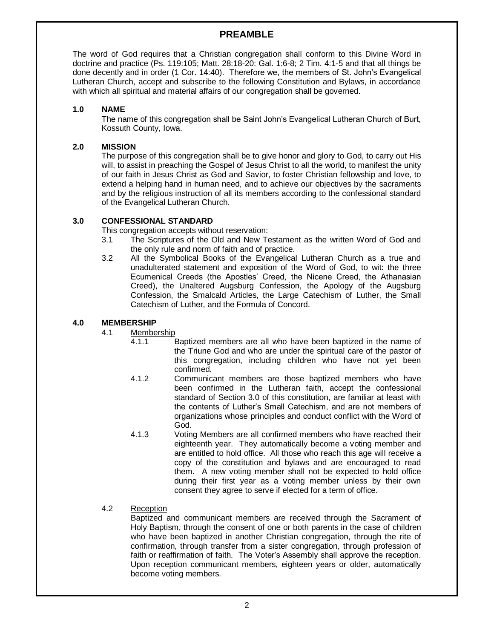#### **PREAMBLE**

The word of God requires that a Christian congregation shall conform to this Divine Word in doctrine and practice (Ps. 119:105; Matt. 28:18-20: Gal. 1:6-8; 2 Tim. 4:1-5 and that all things be done decently and in order (1 Cor. 14:40). Therefore we, the members of St. John's Evangelical Lutheran Church, accept and subscribe to the following Constitution and Bylaws, in accordance with which all spiritual and material affairs of our congregation shall be governed.

#### **1.0 NAME**

The name of this congregation shall be Saint John's Evangelical Lutheran Church of Burt, Kossuth County, Iowa.

#### **2.0 MISSION**

The purpose of this congregation shall be to give honor and glory to God, to carry out His will, to assist in preaching the Gospel of Jesus Christ to all the world, to manifest the unity of our faith in Jesus Christ as God and Savior, to foster Christian fellowship and love, to extend a helping hand in human need, and to achieve our objectives by the sacraments and by the religious instruction of all its members according to the confessional standard of the Evangelical Lutheran Church.

#### **3.0 CONFESSIONAL STANDARD**

This congregation accepts without reservation:

- 3.1 The Scriptures of the Old and New Testament as the written Word of God and the only rule and norm of faith and of practice.
- 3.2 All the Symbolical Books of the Evangelical Lutheran Church as a true and unadulterated statement and exposition of the Word of God, to wit: the three Ecumenical Creeds (the Apostles' Creed, the Nicene Creed, the Athanasian Creed), the Unaltered Augsburg Confession, the Apology of the Augsburg Confession, the Smalcald Articles, the Large Catechism of Luther, the Small Catechism of Luther, and the Formula of Concord.

#### **4.0 MEMBERSHIP**

- 4.1 Membership
	- 4.1.1 Baptized members are all who have been baptized in the name of the Triune God and who are under the spiritual care of the pastor of this congregation, including children who have not yet been confirmed.
	- 4.1.2 Communicant members are those baptized members who have been confirmed in the Lutheran faith, accept the confessional standard of Section 3.0 of this constitution, are familiar at least with the contents of Luther's Small Catechism, and are not members of organizations whose principles and conduct conflict with the Word of God.
	- 4.1.3 Voting Members are all confirmed members who have reached their eighteenth year. They automatically become a voting member and are entitled to hold office. All those who reach this age will receive a copy of the constitution and bylaws and are encouraged to read them. A new voting member shall not be expected to hold office during their first year as a voting member unless by their own consent they agree to serve if elected for a term of office.
- 4.2 Reception

Baptized and communicant members are received through the Sacrament of Holy Baptism, through the consent of one or both parents in the case of children who have been baptized in another Christian congregation, through the rite of confirmation, through transfer from a sister congregation, through profession of faith or reaffirmation of faith. The Voter's Assembly shall approve the reception. Upon reception communicant members, eighteen years or older, automatically become voting members.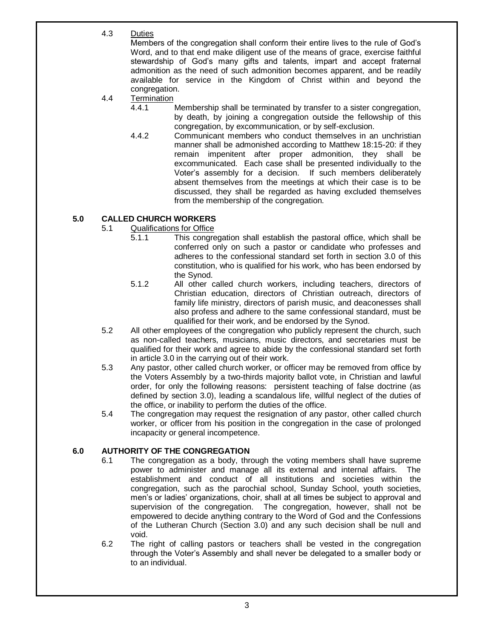4.3 Duties

Members of the congregation shall conform their entire lives to the rule of God's Word, and to that end make diligent use of the means of grace, exercise faithful stewardship of God's many gifts and talents, impart and accept fraternal admonition as the need of such admonition becomes apparent, and be readily available for service in the Kingdom of Christ within and beyond the congregation.

- 4.4 Termination<br>4.4.1
	- Membership shall be terminated by transfer to a sister congregation, by death, by joining a congregation outside the fellowship of this congregation, by excommunication, or by self-exclusion.
	- 4.4.2 Communicant members who conduct themselves in an unchristian manner shall be admonished according to Matthew 18:15-20: if they remain impenitent after proper admonition, they shall be excommunicated. Each case shall be presented individually to the Voter's assembly for a decision. If such members deliberately absent themselves from the meetings at which their case is to be discussed, they shall be regarded as having excluded themselves from the membership of the congregation.

#### **5.0 CALLED CHURCH WORKERS**

- 5.1 Qualifications for Office
	- 5.1.1 This congregation shall establish the pastoral office, which shall be conferred only on such a pastor or candidate who professes and adheres to the confessional standard set forth in section 3.0 of this constitution, who is qualified for his work, who has been endorsed by the Synod.
	- 5.1.2 All other called church workers, including teachers, directors of Christian education, directors of Christian outreach, directors of family life ministry, directors of parish music, and deaconesses shall also profess and adhere to the same confessional standard, must be qualified for their work, and be endorsed by the Synod.
- 5.2 All other employees of the congregation who publicly represent the church, such as non-called teachers, musicians, music directors, and secretaries must be qualified for their work and agree to abide by the confessional standard set forth in article 3.0 in the carrying out of their work.
- 5.3 Any pastor, other called church worker, or officer may be removed from office by the Voters Assembly by a two-thirds majority ballot vote, in Christian and lawful order, for only the following reasons: persistent teaching of false doctrine (as defined by section 3.0), leading a scandalous life, willful neglect of the duties of the office, or inability to perform the duties of the office.
- 5.4 The congregation may request the resignation of any pastor, other called church worker, or officer from his position in the congregation in the case of prolonged incapacity or general incompetence.

#### **6.0 AUTHORITY OF THE CONGREGATION**

- 6.1 The congregation as a body, through the voting members shall have supreme power to administer and manage all its external and internal affairs. The establishment and conduct of all institutions and societies within the congregation, such as the parochial school, Sunday School, youth societies, men's or ladies' organizations, choir, shall at all times be subject to approval and supervision of the congregation. The congregation, however, shall not be empowered to decide anything contrary to the Word of God and the Confessions of the Lutheran Church (Section 3.0) and any such decision shall be null and void.
- 6.2 The right of calling pastors or teachers shall be vested in the congregation through the Voter's Assembly and shall never be delegated to a smaller body or to an individual.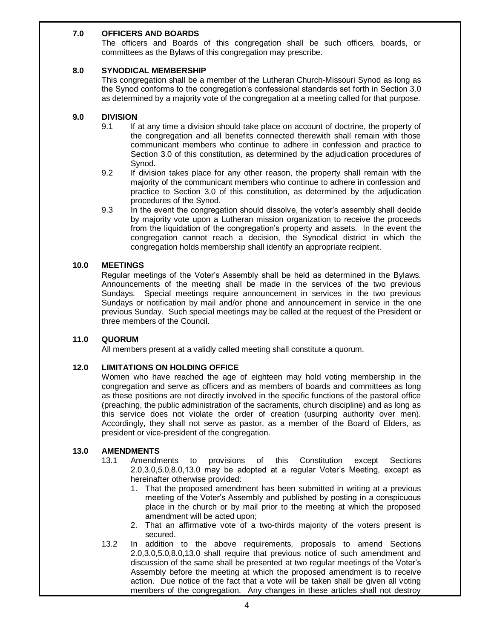#### **7.0 OFFICERS AND BOARDS**

The officers and Boards of this congregation shall be such officers, boards, or committees as the Bylaws of this congregation may prescribe.

#### **8.0 SYNODICAL MEMBERSHIP**

This congregation shall be a member of the Lutheran Church-Missouri Synod as long as the Synod conforms to the congregation's confessional standards set forth in Section 3.0 as determined by a majority vote of the congregation at a meeting called for that purpose.

#### **9.0 DIVISION**

- 9.1 If at any time a division should take place on account of doctrine, the property of the congregation and all benefits connected therewith shall remain with those communicant members who continue to adhere in confession and practice to Section 3.0 of this constitution, as determined by the adjudication procedures of Synod.
- 9.2 If division takes place for any other reason, the property shall remain with the majority of the communicant members who continue to adhere in confession and practice to Section 3.0 of this constitution, as determined by the adjudication procedures of the Synod.
- 9.3 In the event the congregation should dissolve, the voter's assembly shall decide by majority vote upon a Lutheran mission organization to receive the proceeds from the liquidation of the congregation's property and assets. In the event the congregation cannot reach a decision, the Synodical district in which the congregation holds membership shall identify an appropriate recipient.

#### **10.0 MEETINGS**

Regular meetings of the Voter's Assembly shall be held as determined in the Bylaws. Announcements of the meeting shall be made in the services of the two previous Sundays. Special meetings require announcement in services in the two previous Sundays or notification by mail and/or phone and announcement in service in the one previous Sunday. Such special meetings may be called at the request of the President or three members of the Council.

#### **11.0 QUORUM**

All members present at a validly called meeting shall constitute a quorum.

#### **12.0 LIMITATIONS ON HOLDING OFFICE**

Women who have reached the age of eighteen may hold voting membership in the congregation and serve as officers and as members of boards and committees as long as these positions are not directly involved in the specific functions of the pastoral office (preaching, the public administration of the sacraments, church discipline) and as long as this service does not violate the order of creation (usurping authority over men). Accordingly, they shall not serve as pastor, as a member of the Board of Elders, as president or vice-president of the congregation.

#### **13.0 AMENDMENTS**

- 13.1 Amendments to provisions of this Constitution except Sections 2.0,3.0,5.0,8.0,13.0 may be adopted at a regular Voter's Meeting, except as hereinafter otherwise provided:
	- 1. That the proposed amendment has been submitted in writing at a previous meeting of the Voter's Assembly and published by posting in a conspicuous place in the church or by mail prior to the meeting at which the proposed amendment will be acted upon;
	- 2. That an affirmative vote of a two-thirds majority of the voters present is secured.
- 13.2 In addition to the above requirements, proposals to amend Sections 2.0,3.0,5.0,8.0,13.0 shall require that previous notice of such amendment and discussion of the same shall be presented at two regular meetings of the Voter's Assembly before the meeting at which the proposed amendment is to receive action. Due notice of the fact that a vote will be taken shall be given all voting members of the congregation. Any changes in these articles shall not destroy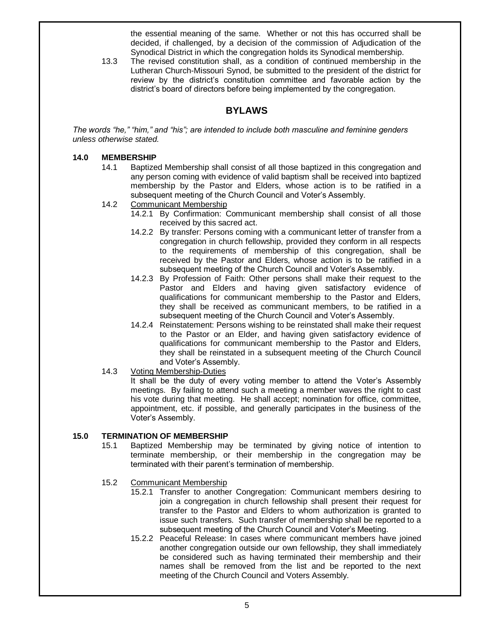the essential meaning of the same. Whether or not this has occurred shall be decided, if challenged, by a decision of the commission of Adjudication of the Synodical District in which the congregation holds its Synodical membership.

13.3 The revised constitution shall, as a condition of continued membership in the Lutheran Church-Missouri Synod, be submitted to the president of the district for review by the district's constitution committee and favorable action by the district's board of directors before being implemented by the congregation.

#### **BYLAWS**

*The words "he," "him," and "his"; are intended to include both masculine and feminine genders unless otherwise stated.*

#### **14.0 MEMBERSHIP**

- 14.1 Baptized Membership shall consist of all those baptized in this congregation and any person coming with evidence of valid baptism shall be received into baptized membership by the Pastor and Elders, whose action is to be ratified in a subsequent meeting of the Church Council and Voter's Assembly.
- 14.2 Communicant Membership
	- 14.2.1 By Confirmation: Communicant membership shall consist of all those received by this sacred act.
	- 14.2.2 By transfer: Persons coming with a communicant letter of transfer from a congregation in church fellowship, provided they conform in all respects to the requirements of membership of this congregation, shall be received by the Pastor and Elders, whose action is to be ratified in a subsequent meeting of the Church Council and Voter's Assembly.
	- 14.2.3 By Profession of Faith: Other persons shall make their request to the Pastor and Elders and having given satisfactory evidence of qualifications for communicant membership to the Pastor and Elders, they shall be received as communicant members, to be ratified in a subsequent meeting of the Church Council and Voter's Assembly.
	- 14.2.4 Reinstatement: Persons wishing to be reinstated shall make their request to the Pastor or an Elder, and having given satisfactory evidence of qualifications for communicant membership to the Pastor and Elders, they shall be reinstated in a subsequent meeting of the Church Council and Voter's Assembly.
- 14.3 Voting Membership-Duties

It shall be the duty of every voting member to attend the Voter's Assembly meetings. By failing to attend such a meeting a member waves the right to cast his vote during that meeting. He shall accept; nomination for office, committee, appointment, etc. if possible, and generally participates in the business of the Voter's Assembly.

#### **15.0 TERMINATION OF MEMBERSHIP**

- 15.1 Baptized Membership may be terminated by giving notice of intention to terminate membership, or their membership in the congregation may be terminated with their parent's termination of membership.
- 15.2 Communicant Membership
	- 15.2.1 Transfer to another Congregation: Communicant members desiring to join a congregation in church fellowship shall present their request for transfer to the Pastor and Elders to whom authorization is granted to issue such transfers. Such transfer of membership shall be reported to a subsequent meeting of the Church Council and Voter's Meeting.
	- 15.2.2 Peaceful Release: In cases where communicant members have joined another congregation outside our own fellowship, they shall immediately be considered such as having terminated their membership and their names shall be removed from the list and be reported to the next meeting of the Church Council and Voters Assembly.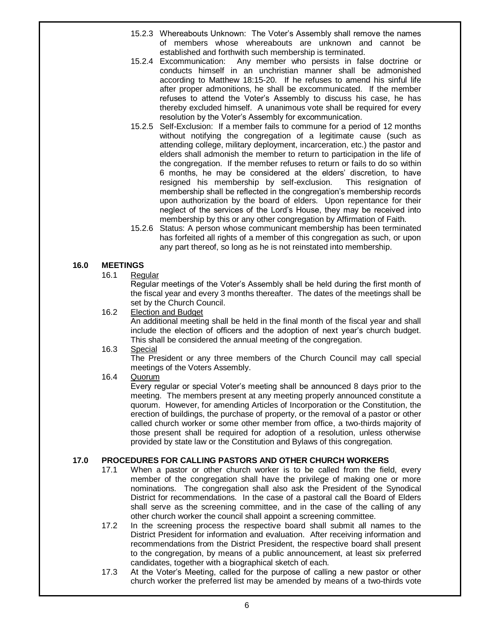- 15.2.3 Whereabouts Unknown: The Voter's Assembly shall remove the names of members whose whereabouts are unknown and cannot be established and forthwith such membership is terminated.
- 15.2.4 Excommunication: Any member who persists in false doctrine or conducts himself in an unchristian manner shall be admonished according to Matthew 18:15-20. If he refuses to amend his sinful life after proper admonitions, he shall be excommunicated. If the member refuses to attend the Voter's Assembly to discuss his case, he has thereby excluded himself. A unanimous vote shall be required for every resolution by the Voter's Assembly for excommunication.
- 15.2.5 Self-Exclusion: If a member fails to commune for a period of 12 months without notifying the congregation of a legitimate cause (such as attending college, military deployment, incarceration, etc.) the pastor and elders shall admonish the member to return to participation in the life of the congregation. If the member refuses to return or fails to do so within 6 months, he may be considered at the elders' discretion, to have resigned his membership by self-exclusion. This resignation of membership shall be reflected in the congregation's membership records upon authorization by the board of elders. Upon repentance for their neglect of the services of the Lord's House, they may be received into membership by this or any other congregation by Affirmation of Faith.
- 15.2.6 Status: A person whose communicant membership has been terminated has forfeited all rights of a member of this congregation as such, or upon any part thereof, so long as he is not reinstated into membership.

#### **16.0 MEETINGS**

16.1 Regular

Regular meetings of the Voter's Assembly shall be held during the first month of the fiscal year and every 3 months thereafter. The dates of the meetings shall be set by the Church Council.

16.2 Election and Budget

An additional meeting shall be held in the final month of the fiscal year and shall include the election of officers and the adoption of next year's church budget. This shall be considered the annual meeting of the congregation.

16.3 Special

The President or any three members of the Church Council may call special meetings of the Voters Assembly.

16.4 Quorum

Every regular or special Voter's meeting shall be announced 8 days prior to the meeting. The members present at any meeting properly announced constitute a quorum. However, for amending Articles of Incorporation or the Constitution, the erection of buildings, the purchase of property, or the removal of a pastor or other called church worker or some other member from office, a two-thirds majority of those present shall be required for adoption of a resolution, unless otherwise provided by state law or the Constitution and Bylaws of this congregation.

#### **17.0 PROCEDURES FOR CALLING PASTORS AND OTHER CHURCH WORKERS**

- 17.1 When a pastor or other church worker is to be called from the field, every member of the congregation shall have the privilege of making one or more nominations. The congregation shall also ask the President of the Synodical District for recommendations. In the case of a pastoral call the Board of Elders shall serve as the screening committee, and in the case of the calling of any other church worker the council shall appoint a screening committee.
- 17.2 In the screening process the respective board shall submit all names to the District President for information and evaluation. After receiving information and recommendations from the District President, the respective board shall present to the congregation, by means of a public announcement, at least six preferred candidates, together with a biographical sketch of each.
- 17.3 At the Voter's Meeting, called for the purpose of calling a new pastor or other church worker the preferred list may be amended by means of a two-thirds vote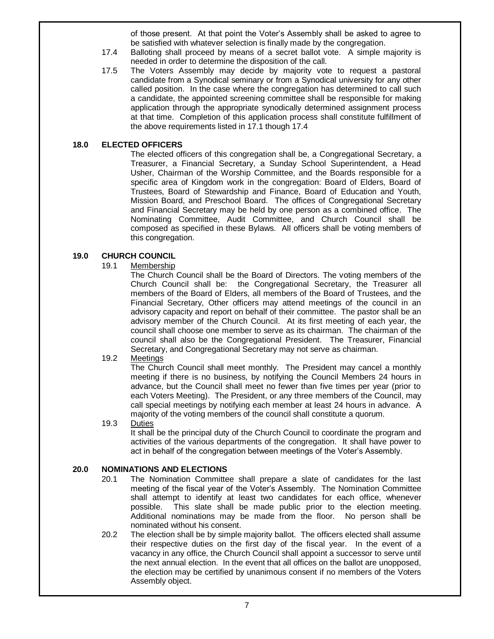of those present. At that point the Voter's Assembly shall be asked to agree to be satisfied with whatever selection is finally made by the congregation.

- 17.4 Balloting shall proceed by means of a secret ballot vote. A simple majority is needed in order to determine the disposition of the call.
- 17.5 The Voters Assembly may decide by majority vote to request a pastoral candidate from a Synodical seminary or from a Synodical university for any other called position. In the case where the congregation has determined to call such a candidate, the appointed screening committee shall be responsible for making application through the appropriate synodically determined assignment process at that time. Completion of this application process shall constitute fulfillment of the above requirements listed in 17.1 though 17.4

#### **18.0 ELECTED OFFICERS**

The elected officers of this congregation shall be, a Congregational Secretary, a Treasurer, a Financial Secretary, a Sunday School Superintendent, a Head Usher, Chairman of the Worship Committee, and the Boards responsible for a specific area of Kingdom work in the congregation: Board of Elders, Board of Trustees, Board of Stewardship and Finance, Board of Education and Youth, Mission Board, and Preschool Board. The offices of Congregational Secretary and Financial Secretary may be held by one person as a combined office. The Nominating Committee, Audit Committee, and Church Council shall be composed as specified in these Bylaws. All officers shall be voting members of this congregation.

#### **19.0 CHURCH COUNCIL**

19.1 Membership

The Church Council shall be the Board of Directors. The voting members of the Church Council shall be: the Congregational Secretary, the Treasurer all members of the Board of Elders, all members of the Board of Trustees, and the Financial Secretary, Other officers may attend meetings of the council in an advisory capacity and report on behalf of their committee. The pastor shall be an advisory member of the Church Council. At its first meeting of each year, the council shall choose one member to serve as its chairman. The chairman of the council shall also be the Congregational President. The Treasurer, Financial Secretary, and Congregational Secretary may not serve as chairman.

19.2 Meetings

The Church Council shall meet monthly. The President may cancel a monthly meeting if there is no business, by notifying the Council Members 24 hours in advance, but the Council shall meet no fewer than five times per year (prior to each Voters Meeting). The President, or any three members of the Council, may call special meetings by notifying each member at least 24 hours in advance. A majority of the voting members of the council shall constitute a quorum.

19.3 Duties

It shall be the principal duty of the Church Council to coordinate the program and activities of the various departments of the congregation. It shall have power to act in behalf of the congregation between meetings of the Voter's Assembly.

#### **20.0 NOMINATIONS AND ELECTIONS**

- 20.1 The Nomination Committee shall prepare a slate of candidates for the last meeting of the fiscal year of the Voter's Assembly. The Nomination Committee shall attempt to identify at least two candidates for each office, whenever possible. This slate shall be made public prior to the election meeting. Additional nominations may be made from the floor. No person shall be nominated without his consent.
- 20.2 The election shall be by simple majority ballot. The officers elected shall assume their respective duties on the first day of the fiscal year. In the event of a vacancy in any office, the Church Council shall appoint a successor to serve until the next annual election. In the event that all offices on the ballot are unopposed, the election may be certified by unanimous consent if no members of the Voters Assembly object.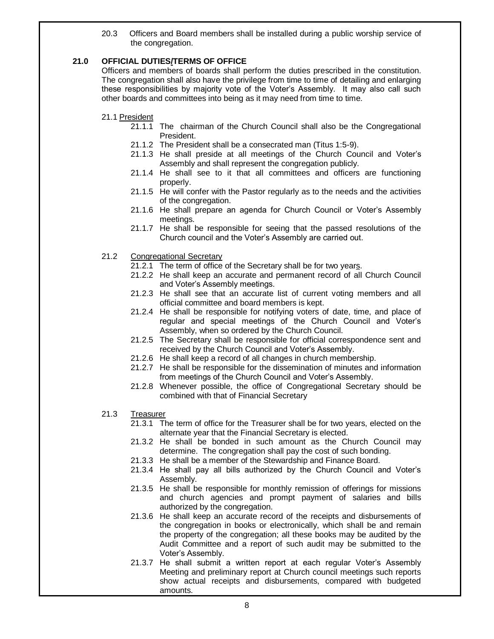20.3 Officers and Board members shall be installed during a public worship service of the congregation.

#### **21.0 OFFICIAL DUTIES/TERMS OF OFFICE**

Officers and members of boards shall perform the duties prescribed in the constitution. The congregation shall also have the privilege from time to time of detailing and enlarging these responsibilities by majority vote of the Voter's Assembly. It may also call such other boards and committees into being as it may need from time to time.

#### 21.1 President

- 21.1.1 The chairman of the Church Council shall also be the Congregational President.
- 21.1.2 The President shall be a consecrated man (Titus 1:5-9).
- 21.1.3 He shall preside at all meetings of the Church Council and Voter's Assembly and shall represent the congregation publicly.
- 21.1.4 He shall see to it that all committees and officers are functioning properly.
- 21.1.5 He will confer with the Pastor regularly as to the needs and the activities of the congregation.
- 21.1.6 He shall prepare an agenda for Church Council or Voter's Assembly meetings.
- 21.1.7 He shall be responsible for seeing that the passed resolutions of the Church council and the Voter's Assembly are carried out.
- 21.2 Congregational Secretary
	- 21.2.1 The term of office of the Secretary shall be for two years.
	- 21.2.2 He shall keep an accurate and permanent record of all Church Council and Voter's Assembly meetings.
	- 21.2.3 He shall see that an accurate list of current voting members and all official committee and board members is kept.
	- 21.2.4 He shall be responsible for notifying voters of date, time, and place of regular and special meetings of the Church Council and Voter's Assembly, when so ordered by the Church Council.
	- 21.2.5 The Secretary shall be responsible for official correspondence sent and received by the Church Council and Voter's Assembly.
	- 21.2.6 He shall keep a record of all changes in church membership.
	- 21.2.7 He shall be responsible for the dissemination of minutes and information from meetings of the Church Council and Voter's Assembly.
	- 21.2.8 Whenever possible, the office of Congregational Secretary should be combined with that of Financial Secretary
- 21.3 Treasurer
	- 21.3.1 The term of office for the Treasurer shall be for two years, elected on the alternate year that the Financial Secretary is elected.
	- 21.3.2 He shall be bonded in such amount as the Church Council may determine. The congregation shall pay the cost of such bonding.
	- 21.3.3 He shall be a member of the Stewardship and Finance Board.
	- 21.3.4 He shall pay all bills authorized by the Church Council and Voter's Assembly.
	- 21.3.5 He shall be responsible for monthly remission of offerings for missions and church agencies and prompt payment of salaries and bills authorized by the congregation.
	- 21.3.6 He shall keep an accurate record of the receipts and disbursements of the congregation in books or electronically, which shall be and remain the property of the congregation; all these books may be audited by the Audit Committee and a report of such audit may be submitted to the Voter's Assembly.
	- 21.3.7 He shall submit a written report at each regular Voter's Assembly Meeting and preliminary report at Church council meetings such reports show actual receipts and disbursements, compared with budgeted amounts.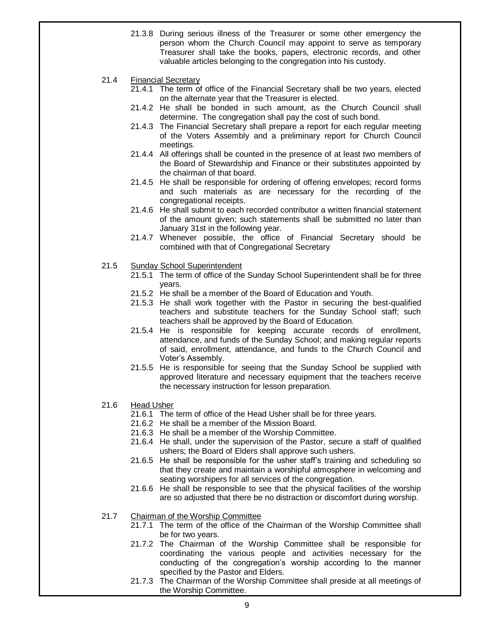- 21.3.8 During serious illness of the Treasurer or some other emergency the person whom the Church Council may appoint to serve as temporary Treasurer shall take the books, papers, electronic records, and other valuable articles belonging to the congregation into his custody.
- 21.4 Financial Secretary
	- 21.4.1 The term of office of the Financial Secretary shall be two years, elected on the alternate year that the Treasurer is elected.
	- 21.4.2 He shall be bonded in such amount, as the Church Council shall determine. The congregation shall pay the cost of such bond.
	- 21.4.3 The Financial Secretary shall prepare a report for each regular meeting of the Voters Assembly and a preliminary report for Church Council meetings.
	- 21.4.4 All offerings shall be counted in the presence of at least two members of the Board of Stewardship and Finance or their substitutes appointed by the chairman of that board.
	- 21.4.5 He shall be responsible for ordering of offering envelopes; record forms and such materials as are necessary for the recording of the congregational receipts.
	- 21.4.6 He shall submit to each recorded contributor a written financial statement of the amount given; such statements shall be submitted no later than January 31st in the following year.
	- 21.4.7 Whenever possible, the office of Financial Secretary should be combined with that of Congregational Secretary
- 21.5 Sunday School Superintendent
	- 21.5.1 The term of office of the Sunday School Superintendent shall be for three years.
	- 21.5.2 He shall be a member of the Board of Education and Youth.
	- 21.5.3 He shall work together with the Pastor in securing the best-qualified teachers and substitute teachers for the Sunday School staff; such teachers shall be approved by the Board of Education.
	- 21.5.4 He is responsible for keeping accurate records of enrollment, attendance, and funds of the Sunday School; and making regular reports of said, enrollment, attendance, and funds to the Church Council and Voter's Assembly.
	- 21.5.5 He is responsible for seeing that the Sunday School be supplied with approved literature and necessary equipment that the teachers receive the necessary instruction for lesson preparation.
- 21.6 Head Usher
	- 21.6.1 The term of office of the Head Usher shall be for three years.
	- 21.6.2 He shall be a member of the Mission Board.
	- 21.6.3 He shall be a member of the Worship Committee.
	- 21.6.4 He shall, under the supervision of the Pastor, secure a staff of qualified ushers; the Board of Elders shall approve such ushers.
	- 21.6.5 He shall be responsible for the usher staff's training and scheduling so that they create and maintain a worshipful atmosphere in welcoming and seating worshipers for all services of the congregation.
	- 21.6.6 He shall be responsible to see that the physical facilities of the worship are so adjusted that there be no distraction or discomfort during worship.
- 21.7 Chairman of the Worship Committee
	- 21.7.1 The term of the office of the Chairman of the Worship Committee shall be for two years.
	- 21.7.2 The Chairman of the Worship Committee shall be responsible for coordinating the various people and activities necessary for the conducting of the congregation's worship according to the manner specified by the Pastor and Elders.
	- 21.7.3 The Chairman of the Worship Committee shall preside at all meetings of the Worship Committee.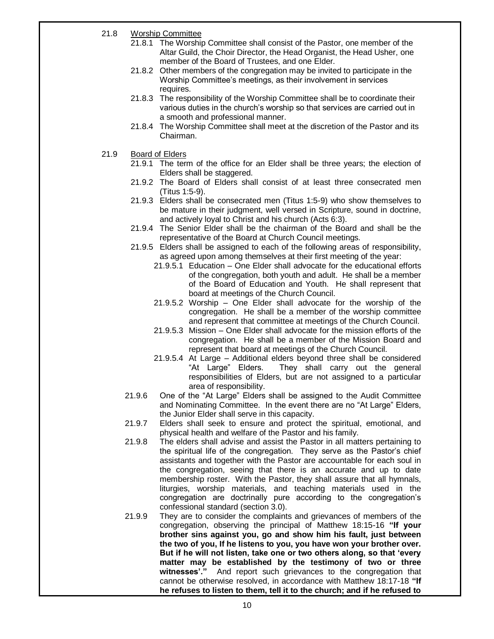- 21.8 Worship Committee
	- 21.8.1 The Worship Committee shall consist of the Pastor, one member of the Altar Guild, the Choir Director, the Head Organist, the Head Usher, one member of the Board of Trustees, and one Elder.
	- 21.8.2 Other members of the congregation may be invited to participate in the Worship Committee's meetings, as their involvement in services requires.
	- 21.8.3 The responsibility of the Worship Committee shall be to coordinate their various duties in the church's worship so that services are carried out in a smooth and professional manner.
	- 21.8.4 The Worship Committee shall meet at the discretion of the Pastor and its Chairman.
- 21.9 Board of Elders
	- 21.9.1 The term of the office for an Elder shall be three years; the election of Elders shall be staggered.
	- 21.9.2 The Board of Elders shall consist of at least three consecrated men (Titus 1:5-9).
	- 21.9.3 Elders shall be consecrated men (Titus 1:5-9) who show themselves to be mature in their judgment, well versed in Scripture, sound in doctrine, and actively loyal to Christ and his church (Acts 6:3).
	- 21.9.4 The Senior Elder shall be the chairman of the Board and shall be the representative of the Board at Church Council meetings.
	- 21.9.5 Elders shall be assigned to each of the following areas of responsibility, as agreed upon among themselves at their first meeting of the year:
		- 21.9.5.1 Education One Elder shall advocate for the educational efforts of the congregation, both youth and adult. He shall be a member of the Board of Education and Youth. He shall represent that board at meetings of the Church Council.
		- 21.9.5.2 Worship One Elder shall advocate for the worship of the congregation. He shall be a member of the worship committee and represent that committee at meetings of the Church Council.
		- 21.9.5.3 Mission One Elder shall advocate for the mission efforts of the congregation. He shall be a member of the Mission Board and represent that board at meetings of the Church Council.
		- 21.9.5.4 At Large Additional elders beyond three shall be considered "At Large" Elders. They shall carry out the general responsibilities of Elders, but are not assigned to a particular area of responsibility.
	- 21.9.6 One of the "At Large" Elders shall be assigned to the Audit Committee and Nominating Committee. In the event there are no "At Large" Elders, the Junior Elder shall serve in this capacity.
	- 21.9.7 Elders shall seek to ensure and protect the spiritual, emotional, and physical health and welfare of the Pastor and his family.
	- 21.9.8 The elders shall advise and assist the Pastor in all matters pertaining to the spiritual life of the congregation. They serve as the Pastor's chief assistants and together with the Pastor are accountable for each soul in the congregation, seeing that there is an accurate and up to date membership roster. With the Pastor, they shall assure that all hymnals, liturgies, worship materials, and teaching materials used in the congregation are doctrinally pure according to the congregation's confessional standard (section 3.0).
	- 21.9.9 They are to consider the complaints and grievances of members of the congregation, observing the principal of Matthew 18:15-16 **"If your brother sins against you, go and show him his fault, just between the two of you, If he listens to you, you have won your brother over. But if he will not listen, take one or two others along, so that 'every matter may be established by the testimony of two or three witnesses'."** And report such grievances to the congregation that cannot be otherwise resolved, in accordance with Matthew 18:17-18 **"If he refuses to listen to them, tell it to the church; and if he refused to**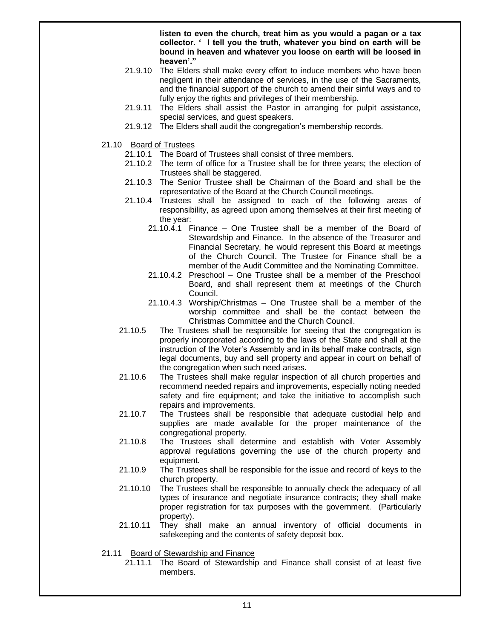**listen to even the church, treat him as you would a pagan or a tax collector. ' I tell you the truth, whatever you bind on earth will be bound in heaven and whatever you loose on earth will be loosed in heaven'."**

- 21.9.10 The Elders shall make every effort to induce members who have been negligent in their attendance of services, in the use of the Sacraments, and the financial support of the church to amend their sinful ways and to fully enjoy the rights and privileges of their membership.
- 21.9.11 The Elders shall assist the Pastor in arranging for pulpit assistance, special services, and guest speakers.
- 21.9.12 The Elders shall audit the congregation's membership records.
- 21.10 Board of Trustees
	- 21.10.1 The Board of Trustees shall consist of three members.
	- 21.10.2 The term of office for a Trustee shall be for three years; the election of Trustees shall be staggered.
	- 21.10.3 The Senior Trustee shall be Chairman of the Board and shall be the representative of the Board at the Church Council meetings.
	- 21.10.4 Trustees shall be assigned to each of the following areas of responsibility, as agreed upon among themselves at their first meeting of the year:
		- 21.10.4.1 Finance One Trustee shall be a member of the Board of Stewardship and Finance. In the absence of the Treasurer and Financial Secretary, he would represent this Board at meetings of the Church Council. The Trustee for Finance shall be a member of the Audit Committee and the Nominating Committee.
		- 21.10.4.2 Preschool One Trustee shall be a member of the Preschool Board, and shall represent them at meetings of the Church Council.
		- 21.10.4.3 Worship/Christmas One Trustee shall be a member of the worship committee and shall be the contact between the Christmas Committee and the Church Council.
	- 21.10.5 The Trustees shall be responsible for seeing that the congregation is properly incorporated according to the laws of the State and shall at the instruction of the Voter's Assembly and in its behalf make contracts, sign legal documents, buy and sell property and appear in court on behalf of the congregation when such need arises.
	- 21.10.6 The Trustees shall make regular inspection of all church properties and recommend needed repairs and improvements, especially noting needed safety and fire equipment; and take the initiative to accomplish such repairs and improvements.
	- 21.10.7 The Trustees shall be responsible that adequate custodial help and supplies are made available for the proper maintenance of the congregational property.
	- 21.10.8 The Trustees shall determine and establish with Voter Assembly approval regulations governing the use of the church property and equipment.
	- 21.10.9 The Trustees shall be responsible for the issue and record of keys to the church property.
	- 21.10.10 The Trustees shall be responsible to annually check the adequacy of all types of insurance and negotiate insurance contracts; they shall make proper registration for tax purposes with the government. (Particularly property).
	- 21.10.11 They shall make an annual inventory of official documents in safekeeping and the contents of safety deposit box.
- 21.11 Board of Stewardship and Finance
	- 21.11.1 The Board of Stewardship and Finance shall consist of at least five members.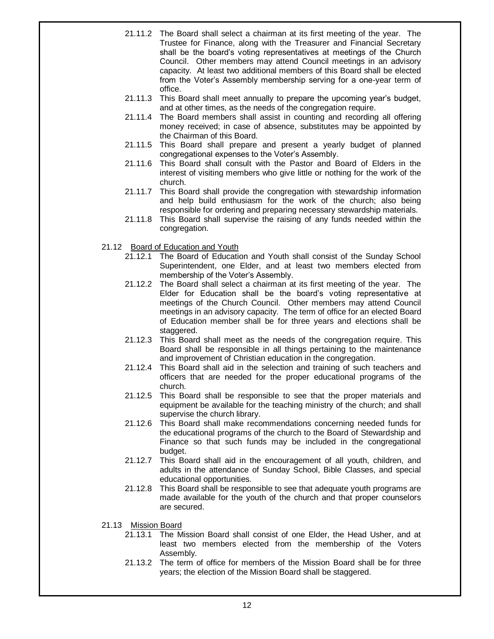- 21.11.2 The Board shall select a chairman at its first meeting of the year. The Trustee for Finance, along with the Treasurer and Financial Secretary shall be the board's voting representatives at meetings of the Church Council. Other members may attend Council meetings in an advisory capacity. At least two additional members of this Board shall be elected from the Voter's Assembly membership serving for a one-year term of office.
- 21.11.3 This Board shall meet annually to prepare the upcoming year's budget, and at other times, as the needs of the congregation require.
- 21.11.4 The Board members shall assist in counting and recording all offering money received; in case of absence, substitutes may be appointed by the Chairman of this Board.
- 21.11.5 This Board shall prepare and present a yearly budget of planned congregational expenses to the Voter's Assembly.
- 21.11.6 This Board shall consult with the Pastor and Board of Elders in the interest of visiting members who give little or nothing for the work of the church.
- 21.11.7 This Board shall provide the congregation with stewardship information and help build enthusiasm for the work of the church; also being responsible for ordering and preparing necessary stewardship materials.
- 21.11.8 This Board shall supervise the raising of any funds needed within the congregation.
- 21.12 Board of Education and Youth
	- 21.12.1 The Board of Education and Youth shall consist of the Sunday School Superintendent, one Elder, and at least two members elected from membership of the Voter's Assembly.
	- 21.12.2 The Board shall select a chairman at its first meeting of the year. The Elder for Education shall be the board's voting representative at meetings of the Church Council. Other members may attend Council meetings in an advisory capacity. The term of office for an elected Board of Education member shall be for three years and elections shall be staggered.
	- 21.12.3 This Board shall meet as the needs of the congregation require. This Board shall be responsible in all things pertaining to the maintenance and improvement of Christian education in the congregation.
	- 21.12.4 This Board shall aid in the selection and training of such teachers and officers that are needed for the proper educational programs of the church.
	- 21.12.5 This Board shall be responsible to see that the proper materials and equipment be available for the teaching ministry of the church; and shall supervise the church library.
	- 21.12.6 This Board shall make recommendations concerning needed funds for the educational programs of the church to the Board of Stewardship and Finance so that such funds may be included in the congregational budget.
	- 21.12.7 This Board shall aid in the encouragement of all youth, children, and adults in the attendance of Sunday School, Bible Classes, and special educational opportunities.
	- 21.12.8 This Board shall be responsible to see that adequate youth programs are made available for the youth of the church and that proper counselors are secured.
- 21.13 Mission Board
	- 21.13.1 The Mission Board shall consist of one Elder, the Head Usher, and at least two members elected from the membership of the Voters Assembly.
	- 21.13.2 The term of office for members of the Mission Board shall be for three years; the election of the Mission Board shall be staggered.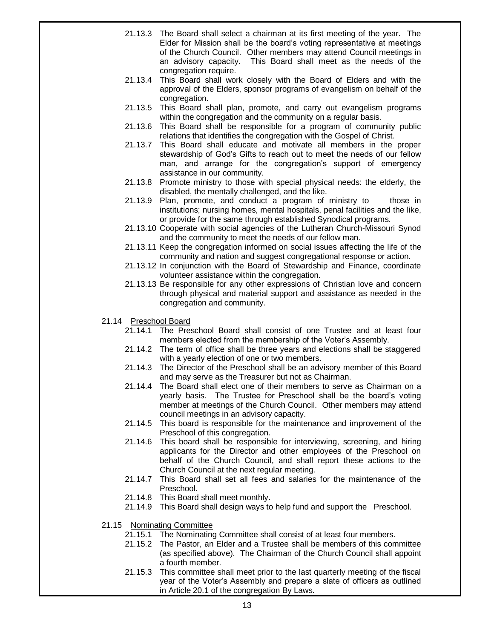- 21.13.3 The Board shall select a chairman at its first meeting of the year. The Elder for Mission shall be the board's voting representative at meetings of the Church Council. Other members may attend Council meetings in an advisory capacity. This Board shall meet as the needs of the congregation require.
- 21.13.4 This Board shall work closely with the Board of Elders and with the approval of the Elders, sponsor programs of evangelism on behalf of the congregation.
- 21.13.5 This Board shall plan, promote, and carry out evangelism programs within the congregation and the community on a regular basis.
- 21.13.6 This Board shall be responsible for a program of community public relations that identifies the congregation with the Gospel of Christ.
- 21.13.7 This Board shall educate and motivate all members in the proper stewardship of God's Gifts to reach out to meet the needs of our fellow man, and arrange for the congregation's support of emergency assistance in our community.
- 21.13.8 Promote ministry to those with special physical needs: the elderly, the disabled, the mentally challenged, and the like.
- 21.13.9 Plan, promote, and conduct a program of ministry to those in institutions; nursing homes, mental hospitals, penal facilities and the like, or provide for the same through established Synodical programs.
- 21.13.10 Cooperate with social agencies of the Lutheran Church-Missouri Synod and the community to meet the needs of our fellow man.
- 21.13.11 Keep the congregation informed on social issues affecting the life of the community and nation and suggest congregational response or action.
- 21.13.12 In conjunction with the Board of Stewardship and Finance, coordinate volunteer assistance within the congregation.
- 21.13.13 Be responsible for any other expressions of Christian love and concern through physical and material support and assistance as needed in the congregation and community.
- 21.14 Preschool Board
	- 21.14.1 The Preschool Board shall consist of one Trustee and at least four members elected from the membership of the Voter's Assembly.
	- 21.14.2 The term of office shall be three years and elections shall be staggered with a yearly election of one or two members.
	- 21.14.3 The Director of the Preschool shall be an advisory member of this Board and may serve as the Treasurer but not as Chairman.
	- 21.14.4 The Board shall elect one of their members to serve as Chairman on a yearly basis. The Trustee for Preschool shall be the board's voting member at meetings of the Church Council. Other members may attend council meetings in an advisory capacity.
	- 21.14.5 This board is responsible for the maintenance and improvement of the Preschool of this congregation.
	- 21.14.6 This board shall be responsible for interviewing, screening, and hiring applicants for the Director and other employees of the Preschool on behalf of the Church Council, and shall report these actions to the Church Council at the next regular meeting.
	- 21.14.7 This Board shall set all fees and salaries for the maintenance of the Preschool.
	- 21.14.8 This Board shall meet monthly.
	- 21.14.9 This Board shall design ways to help fund and support the Preschool.
- 21.15 Nominating Committee
	- 21.15.1 The Nominating Committee shall consist of at least four members.
	- 21.15.2 The Pastor, an Elder and a Trustee shall be members of this committee (as specified above). The Chairman of the Church Council shall appoint a fourth member.
	- 21.15.3 This committee shall meet prior to the last quarterly meeting of the fiscal year of the Voter's Assembly and prepare a slate of officers as outlined in Article 20.1 of the congregation By Laws.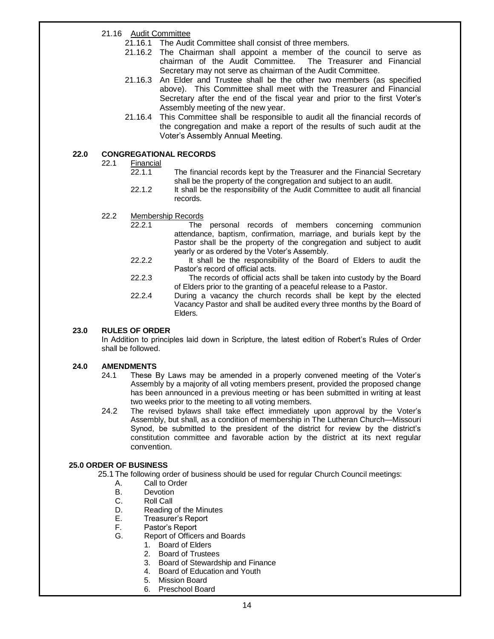21.16 Audit Committee

- 21.16.1 The Audit Committee shall consist of three members.
- 21.16.2 The Chairman shall appoint a member of the council to serve as chairman of the Audit Committee. The Treasurer and Financial Secretary may not serve as chairman of the Audit Committee.
- 21.16.3 An Elder and Trustee shall be the other two members (as specified above). This Committee shall meet with the Treasurer and Financial Secretary after the end of the fiscal year and prior to the first Voter's Assembly meeting of the new year.
- 21.16.4 This Committee shall be responsible to audit all the financial records of the congregation and make a report of the results of such audit at the Voter's Assembly Annual Meeting.

#### **22.0 CONGREGATIONAL RECORDS**

- 22.1 Financial
	- 22.1.1 The financial records kept by the Treasurer and the Financial Secretary shall be the property of the congregation and subject to an audit.
	- 22.1.2 It shall be the responsibility of the Audit Committee to audit all financial records.
- 22.2 Membership Records
	- 22.2.1 The personal records of members concerning communion attendance, baptism, confirmation, marriage, and burials kept by the Pastor shall be the property of the congregation and subject to audit yearly or as ordered by the Voter's Assembly.
	- 22.2.2 It shall be the responsibility of the Board of Elders to audit the Pastor's record of official acts.
	- 22.2.3 The records of official acts shall be taken into custody by the Board of Elders prior to the granting of a peaceful release to a Pastor.
	- 22.2.4 During a vacancy the church records shall be kept by the elected Vacancy Pastor and shall be audited every three months by the Board of Elders.

#### **23.0 RULES OF ORDER**

In Addition to principles laid down in Scripture, the latest edition of Robert's Rules of Order shall be followed.

#### **24.0 AMENDMENTS**

- 24.1 These By Laws may be amended in a properly convened meeting of the Voter's Assembly by a majority of all voting members present, provided the proposed change has been announced in a previous meeting or has been submitted in writing at least two weeks prior to the meeting to all voting members.
- 24.2 The revised bylaws shall take effect immediately upon approval by the Voter's Assembly, but shall, as a condition of membership in The Lutheran Church—Missouri Synod, be submitted to the president of the district for review by the district's constitution committee and favorable action by the district at its next regular convention.

#### **25.0 ORDER OF BUSINESS**

25.1 The following order of business should be used for regular Church Council meetings:

- A. Call to Order
- B. Devotion<br>C. Roll Call
- **Roll Call**
- D. Reading of the Minutes<br>E. Treasurer's Report
- Treasurer's Report
- F. Pastor's Report
- G. Report of Officers and Boards
	- 1. Board of Elders
	- 2. Board of Trustees
	- 3. Board of Stewardship and Finance
	- 4. Board of Education and Youth
	- 5. Mission Board
	- 6. Preschool Board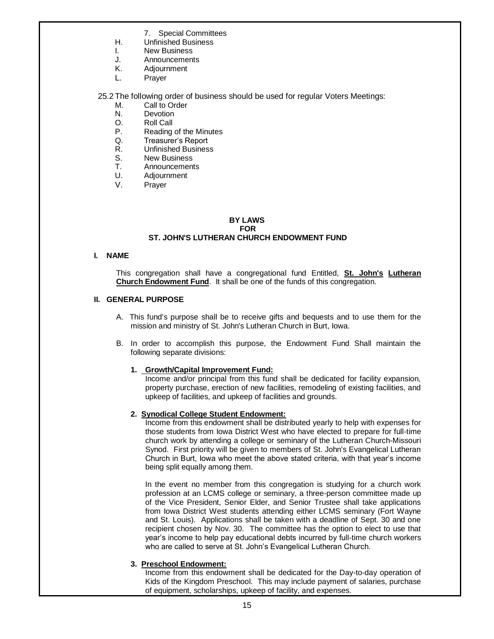- 7. Special Committees
- H. Unfinished Business
- I. New Business
- J. Announcements
- K. Adjournment
- L. Prayer

25.2 The following order of business should be used for regular Voters Meetings:

- M. Call to Order
- N. Devotion
- O. Roll Call
- P. Reading of the Minutes
- Q. Treasurer's Report
- R. Unfinished Business
- S. New Business
- T. Announcements
- U. Adjournment
- V. Prayer

#### **BY LAWS FOR ST. JOHN'S LUTHERAN CHURCH ENDOWMENT FUND**

#### **I. NAME**

This congregation shall have a congregational fund Entitled, **St. John's Lutheran Church Endowment Fund**. It shall be one of the funds of this congregation.

#### **II. GENERAL PURPOSE**

- A. This fund's purpose shall be to receive gifts and bequests and to use them for the mission and ministry of St. John's Lutheran Church in Burt, Iowa.
- B. In order to accomplish this purpose, the Endowment Fund Shall maintain the following separate divisions:

#### **1. Growth/Capital Improvement Fund:**

 Income and/or principal from this fund shall be dedicated for facility expansion, property purchase, erection of new facilities, remodeling of existing facilities, and upkeep of facilities, and upkeep of facilities and grounds.

#### **2. Synodical College Student Endowment:**

Income from this endowment shall be distributed yearly to help with expenses for those students from Iowa District West who have elected to prepare for full-time church work by attending a college or seminary of the Lutheran Church-Missouri Synod. First priority will be given to members of St. John's Evangelical Lutheran Church in Burt, Iowa who meet the above stated criteria, with that year's income being split equally among them.

In the event no member from this congregation is studying for a church work profession at an LCMS college or seminary, a three-person committee made up of the Vice President, Senior Elder, and Senior Trustee shall take applications from Iowa District West students attending either LCMS seminary (Fort Wayne and St. Louis). Applications shall be taken with a deadline of Sept. 30 and one recipient chosen by Nov. 30. The committee has the option to elect to use that year's income to help pay educational debts incurred by full-time church workers who are called to serve at St. John's Evangelical Lutheran Church.

#### **3. Preschool Endowment:**

Income from this endowment shall be dedicated for the Day-to-day operation of Kids of the Kingdom Preschool. This may include payment of salaries, purchase of equipment, scholarships, upkeep of facility, and expenses.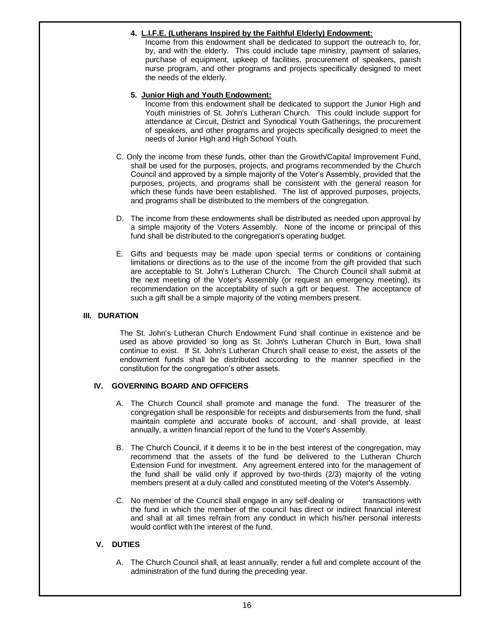#### **4. L.I.F.E. (Lutherans Inspired by the Faithful Elderly) Endowment:**

Income from this endowment shall be dedicated to support the outreach to, for, by, and with the elderly. This could include tape ministry, payment of salaries, purchase of equipment, upkeep of facilities, procurement of speakers, parish nurse program, and other programs and projects specifically designed to meet the needs of the elderly.

#### **5. Junior High and Youth Endowment:**

Income from this endowment shall be dedicated to support the Junior High and Youth ministries of St. John's Lutheran Church. This could include support for attendance at Circuit, District and Synodical Youth Gatherings, the procurement of speakers, and other programs and projects specifically designed to meet the needs of Junior High and High School Youth.

- C. Only the income from these funds, other than the Growth/Capital Improvement Fund, shall be used for the purposes, projects, and programs recommended by the Church Council and approved by a simple majority of the Voter's Assembly, provided that the purposes, projects, and programs shall be consistent with the general reason for which these funds have been established. The list of approved purposes, projects, and programs shall be distributed to the members of the congregation.
- D. The income from these endowments shall be distributed as needed upon approval by a simple majority of the Voters Assembly. None of the income or principal of this fund shall be distributed to the congregation's operating budget.
- E. Gifts and bequests may be made upon special terms or conditions or containing limitations or directions as to the use of the income from the gift provided that such are acceptable to St. John's Lutheran Church. The Church Council shall submit at the next meeting of the Voter's Assembly (or request an emergency meeting), its recommendation on the acceptability of such a gift or bequest. The acceptance of such a gift shall be a simple majority of the voting members present.

#### **III. DURATION**

The St. John's Lutheran Church Endowment Fund shall continue in existence and be used as above provided so long as St. John's Lutheran Church in Burt, Iowa shall continue to exist. If St. John's Lutheran Church shall cease to exist, the assets of the endowment funds shall be distributed according to the manner specified in the constitution for the congregation's other assets.

#### **IV. GOVERNING BOARD AND OFFICERS**

- A. The Church Council shall promote and manage the fund. The treasurer of the congregation shall be responsible for receipts and disbursements from the fund, shall maintain complete and accurate books of account, and shall provide, at least annually, a written financial report of the fund to the Voter's Assembly.
- B. The Church Council, if it deems it to be in the best interest of the congregation, may recommend that the assets of the fund be delivered to the Lutheran Church Extension Fund for investment. Any agreement entered into for the management of the fund shall be valid only if approved by two-thirds (2/3) majority of the voting members present at a duly called and constituted meeting of the Voter's Assembly.
- C. No member of the Council shall engage in any self-dealing or transactions with the fund in which the member of the council has direct or indirect financial interest and shall at all times refrain from any conduct in which his/her personal interests would conflict with the interest of the fund.

#### **V. DUTIES**

A. The Church Council shall, at least annually, render a full and complete account of the administration of the fund during the preceding year.